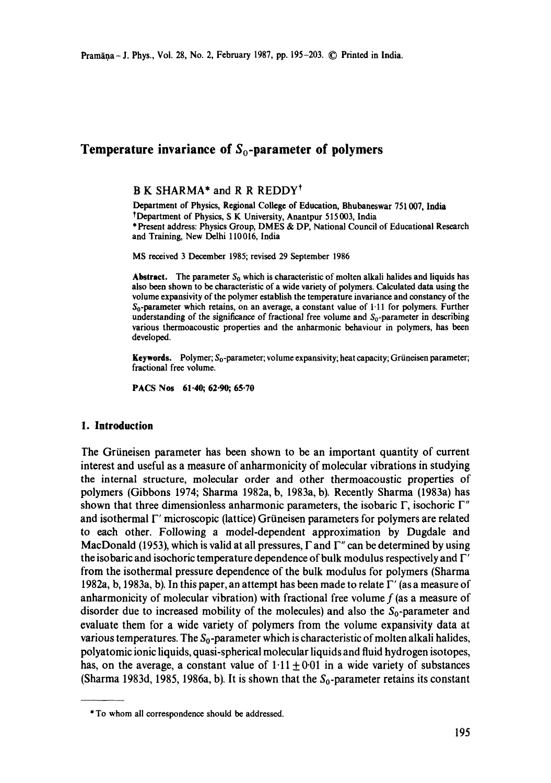# **Temperature invariance of**  $S_0$ **-parameter of polymers**

## **B K** SHARMA\* and **R R REDDY +**

**Department** of Physics, Regional College of Education, Bhubaneswar 751007, India <sup>†</sup>Department of Physics, S K University, Anantpur 515 003, India \*Present address: Physics Group, DMES & DP, National Council of Educational Research and Training, New Delhi 110016, India

MS received 3 December 1985; revised 29 September 1986

**Abstract.** The parameter  $S_0$  which is characteristic of molten alkali halides and liquids has also been shown to be characteristic of a wide variety of polymers. Calculated data using the volume expansivity of the polymer establish the temperature invariance and constancy of the  $S_0$ -parameter which retains, on an average, a constant value of 1.11 for polymers. Further understanding of the significance of fractional free volume and  $S_0$ -parameter in describing various thermoaeoustic properties and the anharmonic behaviour in polymers, has been developed.

**Keywords.** Polymer; S<sub>o</sub>-parameter; volume expansivity; heat capacity; Grüneisen parameter; fractional free volume.

PACS Nos 61.40; 62.90; 65.70

# **1. Introduction**

The Griineisen parameter has been shown to be an important quantity of current interest and useful as a measure of anharmonicity of molecular vibrations in studying the internal structure, molecular order and other thermoacoustic properties of polymers (Gibbons 1974; Sharma 1982a, b, 1983a, b). Recently Sharma (1983a) has shown that three dimensionless anharmonic parameters, the isobaric  $\Gamma$ , isochoric  $\Gamma''$ and isothermal F' microscopic (lattice) Griineisen parameters for polymers are related to each other. Following a model-dependent approximation by Dugdale and MacDonald (1953), which is valid at all pressures,  $\Gamma$  and  $\Gamma''$  can be determined by using the isobaric and isochoric temperature dependence of bulk modulus respectively and  $\Gamma'$ from the isothermal pressure dependence of the bulk modulus for polymers (Sharma 1982a, b, 1983a, b). In this paper, an attempt has been made to relate F' (as a measure of anharmonicity of molecular vibration) with fractional free volume  $f$  (as a measure of disorder due to increased mobility of the molecules) and also the  $S_0$ -parameter and evaluate them for a wide variety of polymers from the volume expansivity data at various temperatures. The  $S_0$ -parameter which is characteristic of molten alkali halides, polyatomic ionic liquids, quasi-spherical molecular liquids and fluid hydrogen isotopes, has, on the average, a constant value of  $1.11 \pm 0.01$  in a wide variety of substances (Sharma 1983d, 1985, 1986a, b). It is shown that the  $S_0$ -parameter retains its constant

<sup>\*</sup> To whom all correspondence should be addressed.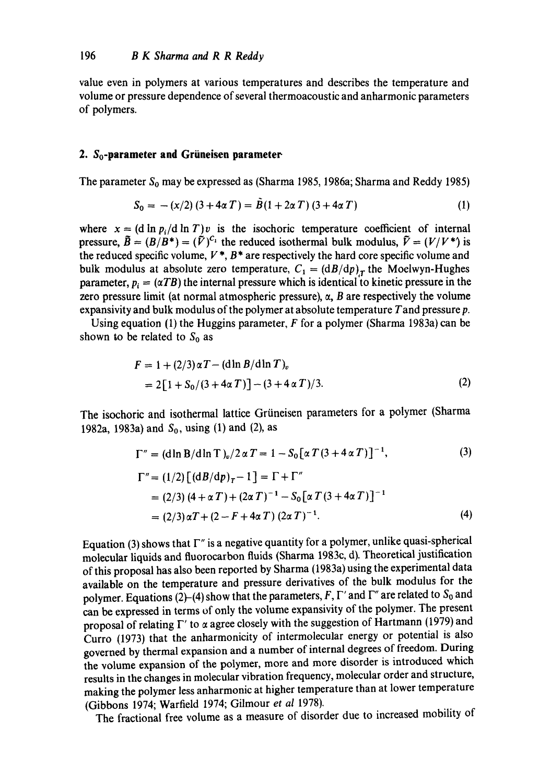value even in polymers at various temperatures and describes the temperature and volume or pressure dependence of several thermoacoustic and anharmonic parameters of polymers.

# **2. So-parameter and Griineisen parameter**

The parameter  $S_0$  may be expressed as (Sharma 1985, 1986a; Sharma and Reddy 1985)

$$
S_0 = -\left(\frac{x}{2}\right)\left(3 + 4\alpha T\right) = B(1 + 2\alpha T)\left(3 + 4\alpha T\right) \tag{1}
$$

where  $x = (d \ln p_i/d \ln T)v$  is the isochoric temperature coefficient of internal pressure,  $\tilde{B} = (B/B^*) = (\tilde{V})^{C_1}$  the reduced isothermal bulk modulus,  $\tilde{V} = (V/V^*)$  is the reduced specific volume,  $V^*$ ,  $B^*$  are respectively the hard core specific volume and bulk modulus at absolute zero temperature,  $C_1 = (dB/dp)_{T}$  the Moelwyn-Hughes parameter,  $p_i = (\alpha T B)$  the internal pressure which is identical to kinetic pressure in the zero pressure limit (at normal atmospheric pressure),  $\alpha$ , B are respectively the volume expansivity and bulk modulus of the polymer at absolute temperature Tand pressure p.

Using equation (1) the Huggins parameter,  $F$  for a polymer (Sharma 1983a) can be shown to be related to  $S_0$  as

$$
F = 1 + (2/3) \alpha T - (\dim B / \dim T)_v
$$
  
= 2[1 + S<sub>0</sub>/(3 + 4\alpha T)] - (3 + 4\alpha T)/3. (2)

The isochoric and isothermal lattice Grüneisen parameters for a polymer (Sharma 1982a, 1983a) and  $S_0$ , using (1) and (2), as

$$
\Gamma'' = (\dim B/d \ln T)_v / 2 \alpha T = 1 - S_0 [\alpha T (3 + 4 \alpha T)]^{-1},
$$
\n(3)  
\n
$$
\Gamma'' = (1/2) [(\frac{d}{d} \rho)_T - 1] = \Gamma + \Gamma''
$$
\n
$$
= (2/3) (4 + \alpha T) + (2\alpha T)^{-1} - S_0 [\alpha T (3 + 4\alpha T)]^{-1}
$$
\n
$$
= (2/3) \alpha T + (2 - F + 4\alpha T) (2\alpha T)^{-1}.
$$
\n(4)

Equation (3) shows that  $\Gamma''$  is a negative quantity for a polymer, unlike quasi-spherical molecular liquids and fluorocarbon fluids (Sharma 1983c, d). Theoretical justification of this proposal has also been reported by Sharma (1983a) using the experimental data available on the temperature and pressure derivatives of the bulk modulus for the polymer. Equations (2)-(4) show that the parameters, F,  $\Gamma'$  and  $\Gamma''$  are related to  $S_0$  and can be expressed in terms of only the volume expansivity of the polymer. The present proposal of relating  $\Gamma'$  to  $\alpha$  agree closely with the suggestion of Hartmann (1979) and Curro (1973) that the anharmonicity of intermolecular energy or potential is also governed by thermal expansion and a number of internal degrees of freedom. During the volume expansion of the polymer, more and more disorder is introduced which results in the changes in molecular vibration frequency, molecular order and structure, making the polymer less anharmonic at higher temperature than at lower temperature (Gibbons 1974; Warfield 1974; Gilmour *et al* 1978).

The fractional free volume as a measure of disorder due to increased mobility of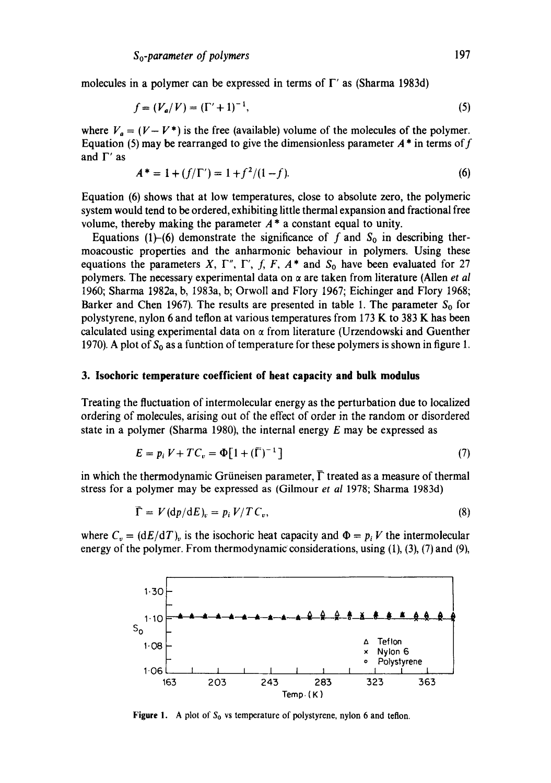molecules in a polymer can be expressed in terms of  $\Gamma'$  as (Sharma 1983d)

$$
f = (V_a/V) = (\Gamma' + 1)^{-1},\tag{5}
$$

where  $V_a = (V - V^*)$  is the free (available) volume of the molecules of the polymer. Equation (5) may be rearranged to give the dimensionless parameter  $A^*$  in terms of f and  $\Gamma'$  as

$$
A^* = 1 + (f/\Gamma') = 1 + f^2/(1 - f). \tag{6}
$$

Equation (6) shows that at low temperatures, close to absolute zero, the polymeric system would tend to be ordered, exhibiting little thermal expansion and fractional free volume, thereby making the parameter  $A^*$  a constant equal to unity.

Equations (1)-(6) demonstrate the significance of f and  $S_0$  in describing thermoacoustic properties and the anharmonic behaviour in polymers. Using these equations the parameters X,  $\Gamma''$ ,  $\Gamma'$ , f, F,  $A^*$  and  $S_0$  have been evaluated for 27 polymers. The necessary experimental data on  $\alpha$  are taken from literature (Allen *et al* 1960; Sharma 1982a, b, 1983a, b; Orwoll and Flory 1967; Eichinger and Flory 1968; Barker and Chen 1967). The results are presented in table 1. The parameter  $S_0$  for polystyrene, nylon 6 and teflon at various temperatures from 173 K to 383 K has been calculated using experimental data on  $\alpha$  from literature (Urzendowski and Guenther 1970). A plot of  $S_0$  as a function of temperature for these polymers is shown in figure 1.

# **3. Isochoric temperature coefficient of heat capacity and bulk modulus**

Treating the fluctuation of intermolecular energy as the perturbation due to localized ordering of molecules, arising out of the effect of order in the random or disordered state in a polymer (Sharma 1980), the internal energy  $E$  may be expressed as

$$
E = p_i V + T C_v = \Phi \left[ 1 + (\overline{\Gamma})^{-1} \right] \tag{7}
$$

in which the thermodynamic Grüneisen parameter,  $\overline{\Gamma}$  treated as a measure of thermal stress for a polymer may be expressed as (Gilmour *et al* 1978; Sharma 1983d)

$$
\overline{\Gamma} = V \left( \frac{dp}{dE} \right)_v = p_i V / T C_v, \tag{8}
$$

where  $C_v = (dE/dT)_v$  is the isochoric heat capacity and  $\Phi = p_i V$  the intermolecular energy of the polymer. From thermodynamic considerations, using  $(1)$ ,  $(3)$ ,  $(7)$  and  $(9)$ ,



Figure 1. A plot of S<sub>0</sub> vs temperature of polystyrene, nylon 6 and teflon.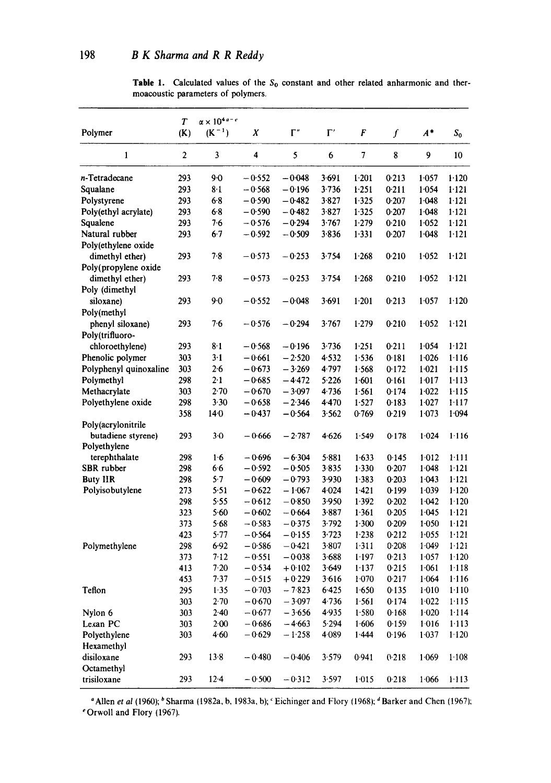|                                        | T                | $\alpha \times 10^{4a-e}$ |          |            |           |           |                  |           |           |
|----------------------------------------|------------------|---------------------------|----------|------------|-----------|-----------|------------------|-----------|-----------|
| Polymer                                | (K)              | $(K^{-1})$                | X        | $\Gamma''$ | $\Gamma'$ | F         | $\boldsymbol{f}$ | $A^*$     | $S_0$     |
| 1                                      | $\boldsymbol{2}$ | 3                         | 4        | 5          | 6         | 7         | 8                | 9         | 10        |
| n-Tetradecane                          | 293              | 9.0                       | $-0.552$ | $-0.048$   | 3.691     | $1 - 201$ | 0.213            | 1.057     | 1.120     |
| Squalane                               | 293              | $8-1$                     | $-0.568$ | $-0.196$   | 3.736     | 1.251     | 0.211            | 1.054     | 1.121     |
| Polystyrene                            | 293              | 6.8                       | $-0.590$ | $-0.482$   | 3.827     | 1.325     | 0.207            | 1.048     | 1.121     |
| Poly(ethyl acrylate)                   | 293              | 68                        | $-0.590$ | $-0.482$   | 3.827     | 1.325     | 0.207            | 1.048     | 1.121     |
| Squalene                               | 293              | 7.6                       | $-0.576$ | $-0.294$   | 3.767     | 1.279     | 0.210            | 1.052     | 1.121     |
| Natural rubber                         | 293              | 6.7                       | $-0.592$ | $-0.509$   | 3.836     | 1.331     | 0.207            | 1.048     | $1 - 121$ |
| Poly(ethylene oxide<br>dimethyl ether) | 293              | 7.8                       | $-0.573$ | $-0.253$   | 3.754     | 1.268     | 0.210            | 1.052     | 1.121     |
| Poly(propylene oxide                   |                  |                           |          |            |           |           |                  |           |           |
| dimethyl ether)<br>Poly (dimethyl      | 293              | 7.8                       | $-0.573$ | $-0.253$   | 3754      | 1.268     | 0.210            | 1.052     | 1.121     |
| siloxane)<br>Poly(methyl               | 293              | 90                        | $-0.552$ | $-0.048$   | 3.691     | 1.201     | 0.213            | 1.057     | 1.120     |
| phenyl siloxane)<br>Poly(trifluoro-    | 293              | 76                        | $-0.576$ | $-0.294$   | 3.767     | 1.279     | 0.210            | 1.052     | 1.121     |
| chloroethylene)                        | 293              | 8·1                       | $-0.568$ | $-0.196$   | 3.736     | 1.251     | 0.211            | 1.054     | 1.121     |
| Phenolic polymer                       | 303              | $3-1$                     | $-0.661$ | $-2.520$   | 4.532     | 1.536     | 0.181            | 1.026     | 1.116     |
| Polyphenyl quinoxaline                 | 303              | $2-6$                     | $-0.673$ | $-3.269$   | 4.797     | 1.568     | 0.172            | $1 - 021$ | 1.115     |
| Polymethyl                             | 298              | 2.1                       | $-0.685$ | $-4472$    | 5.226     | 1.601     | 0.161            | 1:017     | 1.113     |
| Methacrylate                           | 303              | 2.70                      | $-0.670$ | $-3.097$   | 4.736     | 1.561     | 0.174            | 1.022     | 1.115     |
| Polyethylene oxide                     | 298              | 3.30                      | $-0.658$ | $-2.346$   | 4.470     | 1.527     | 0.183            | 1.027     | 1.117     |
|                                        | 358              | 14.0                      | $-0.437$ | $-0.564$   | 3.562     | 0.769     | 0.219            | 1.073     | 1.094     |
| Poly(acrylonitrile                     |                  |                           |          |            |           |           |                  |           |           |
| butadiene styrene)<br>Polyethylene     | 293              | $3-0$                     | -- 0-666 | $-2.787$   | 4.626     | 1.549     | 0.178            | $1 - 024$ | 1.116     |
| terephthalate                          | 298              | 1.6                       | $-0.696$ | $-6.304$   | 5.881     | 1.633     | 0.145            | 1.012     | $1-111$   |
| SBR rubber                             | 298              | 66                        | $-0.592$ | $-0.505$   | 3.835     | 1.330     | 0.207            | 1.048     | 1.121     |
| <b>Buty IIR</b>                        | 298              | 57                        | $-0.609$ | –0.793     | 3.930     | 1.383     | 0.203            | 1.043     | 1.121     |
| Polyisobutylene                        | 273              | 5.51                      | $-0.622$ | – 1∙067    | 4.024     | 1.421     | 0.199            | 1.039     | 1.120     |
|                                        | 298              | 5.55                      | $-0.612$ | $-0.850$   | 3.950     | 1.392     | 0.202            | 1.042     | $1-120$   |
|                                        | 323              | 5.60                      | $-0.602$ | $-0.664$   | $3 - 887$ | 1.361     | 0.205            | 1.045     | $1 - 121$ |
|                                        | 373              | 5.68                      | -0583    | $-0.375$   | $3-792$   | 1.300     | 0.209            | $1-050$   | 1.121     |
|                                        | 423              | 5.77                      | $-0.564$ | $-0.155$   | 3.723     | 1.238     | 0.212            | 1.055     | 1.121     |
| Polymethylene                          | 298              | 6.92                      | $-0.586$ | $-0.421$   | 3.807     | 1.311     | 0.208            | 1.049     | 1.121     |
|                                        | 373              | 7-12                      | $-0.551$ | $-0.038$   | $3 - 688$ | $1-197$   | 0.213            | $1-057$   | 1.120     |
|                                        | 413              | 7.20                      | $-0.534$ | $+0.102$   | 3.649     | 1.137     | 0.215            | $1 - 061$ | 1.118     |
|                                        | 453              | 7.37                      | $-0.515$ | $+0.229$   | 3.616     | 1.070     | 0.217            | 1.064     | 1.116     |
| Teflon                                 | 295              | 1.35                      | $-0.703$ | $-7.823$   | 6.425     | 1.650     | 0.135            | $1 - 010$ | 1.110     |
|                                        | 303              | $2 - 70$                  | $-0.670$ | $-3.097$   | 4.736     | 1.561     | 0.174            | 1.022     | 1.115     |
| Nylon 6                                | 303              | $2-40$                    | $-0.677$ | $-3.656$   | 4.935     | 1.580     | 0.168            | 1.020     | 1.114     |
| Lexan PC                               | 303              | 2.00                      | $-0.686$ | $-4.663$   | 5.294     | 1.606     | 0.159            | 1.016     | 1.113     |
| Polyethylene                           | 303              | 4.60                      | $-0.629$ | $-1.258$   | 4.089     | 1.444     | 0.196            | 1.037     | 1.120     |
| Hexamethyl                             |                  |                           |          |            |           |           |                  |           |           |
| disiloxane                             | 293              | $13 - 8$                  | $-0.480$ | $-0.406$   | 3.579     | 0.941     | 0.218            | 1.069     | $1 - 108$ |
| Octamethyl                             |                  |                           |          |            |           |           |                  |           |           |
| trisiloxane                            | 293              | $12 - 4$                  | $-0.500$ | $-0.312$   | 3.597     | 1.015     | 0.218            | 1.066     | 1.113     |

Table 1. Calculated values of the  $S_0$  constant and other related anharmonic and thermoacoustic parameters of polymers.

<sup>a</sup> Allen *et al* (1960); <sup>b</sup> Sharma (1982a, b, 1983a, b); <sup>c</sup> Eichinger and Flory (1968); <sup>d</sup> Barker and Chen (1967); eOrwoll and Flory (1967).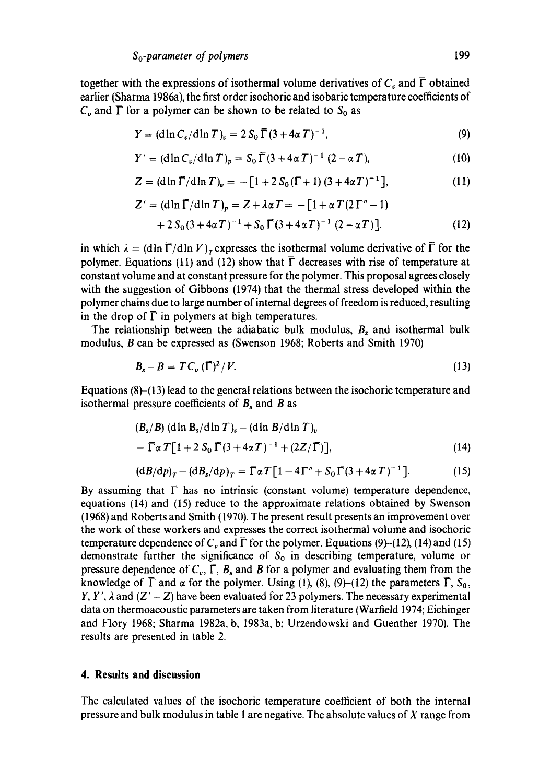together with the expressions of isothermal volume derivatives of  $C_v$  and  $\overline{\Gamma}$  obtained earlier (Sharma 1986a), the first order isochoric and isobaric temperature coefficients of  $C_v$  and  $\overline{\Gamma}$  for a polymer can be shown to be related to  $S_0$  as

$$
Y = (\dim C_v / \dim T)_v = 2 S_0 \, \overline{\Gamma} (3 + 4\alpha \, T)^{-1}, \tag{9}
$$

$$
Y' = (\dim C_v / \dim T)_p = S_0 \,\overline{\Gamma} (3 + 4\alpha \, T)^{-1} \, (2 - \alpha \, T), \tag{10}
$$

$$
Z = (\dim \overline{\Gamma}/\dim T)_v = -[1 + 2S_0(\overline{\Gamma} + 1)(3 + 4\alpha T)^{-1}], \qquad (11)
$$

$$
Z' = (\dim \overline{\Gamma}/\dim T)_p = Z + \lambda \alpha T = -[1 + \alpha T(2\Gamma'' - 1) + 2S_0(3 + 4\alpha T)^{-1} + S_0 \overline{\Gamma}(3 + 4\alpha T)^{-1} (2 - \alpha T)].
$$
 (12)

in which  $\lambda = (\text{d}\ln\overline{\Gamma}/\text{d}\ln V)_T$  expresses the isothermal volume derivative of  $\overline{\Gamma}$  for the polymer. Equations (11) and (12) show that  $\overline{\Gamma}$  decreases with rise of temperature at constant volume and at constant pressure for the polymer. This proposal agrees closely with the suggestion of Gibbons (1974) that the thermal stress developed within the polymer chains due to large number of internal degrees of freedom is reduced, resulting in the drop of  $\overline{\Gamma}$  in polymers at high temperatures.

The relationship between the adiabatic bulk modulus,  $B<sub>s</sub>$  and isothermal bulk modulus, B can be expressed as (Swenson 1968; Roberts and Smith 1970)

$$
B_s - B = TC_v(\overline{\Gamma})^2 / V. \tag{13}
$$

Equations  $(8)$ - $(13)$  lead to the general relations between the isochoric temperature and isothermal pressure coefficients of  $B_s$  and  $B$  as

$$
(B_s/B) (\dim B_s/d\ln T)_v - (\dim B/d\ln T)_v
$$
  
=  $\bar{\Gamma} \alpha T [1 + 2 S_0 \bar{\Gamma} (3 + 4\alpha T)^{-1} + (2Z/\bar{\Gamma})],$  (14)  

$$
(\mathrm{d}B/\mathrm{d}p)_T - (\mathrm{d}B_s/\mathrm{d}p)_T = \bar{\Gamma} \alpha T [1 - 4\Gamma'' + S_0 \bar{\Gamma} (3 + 4\alpha T)^{-1}].
$$
 (15)

By assuming that  $\bar{\Gamma}$  has no intrinsic (constant volume) temperature dependence, equations (14) and (15) reduce to the approximate relations obtained by Swenson (1968) and Roberts and Smith (1970). The present result presents an improvement over the work of these workers and expresses the correct isothermal volume and isochoric temperature dependence of  $C_v$  and  $\overline{\Gamma}$  for the polymer. Equations (9)–(12), (14) and (15) demonstrate further the significance of  $S_0$  in describing temperature, volume or pressure dependence of  $C_v$ ,  $\overline{\Gamma}$ ,  $B_s$  and B for a polymer and evaluating them from the knowledge of  $\bar{\Gamma}$  and  $\alpha$  for the polymer. Using (1), (8), (9)–(12) the parameters  $\bar{\Gamma}$ ,  $S_0$ , Y, Y',  $\lambda$  and  $(Z' - Z)$  have been evaluated for 23 polymers. The necessary experimental data on thermoacoustic parameters are taken from literature (Warfield 1974; Eichinger and Flory 1968; Sharma 1982a, b, 1983a, b; Urzendowski and Guenther 1970). The results are presented in table 2.

## **4. Results and discussion**

The calculated values of the isochoric temperature coefficient of both the internal pressure and bulk modulus in table 1 are negative. The absolute values of  $X$  range from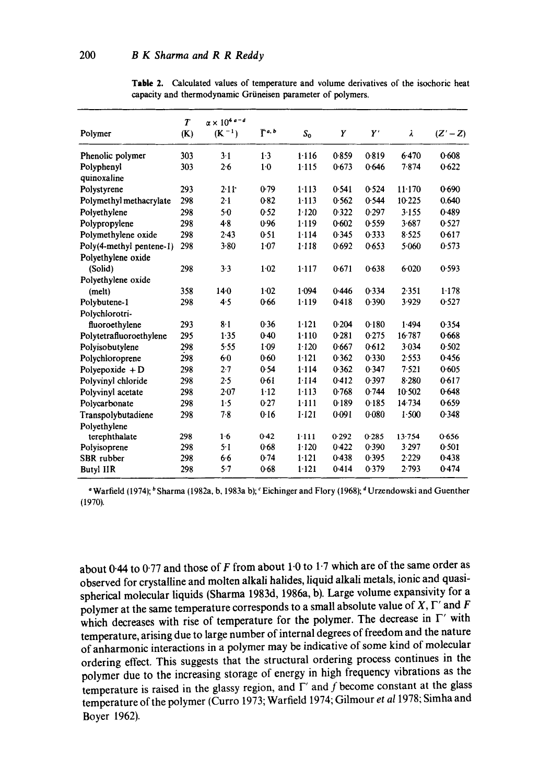| Polymer                   | $\overline{T}$<br>(K) | $\alpha \times 10^{4}$ a - d<br>$(K^{-1})$ | $\overline{\Gamma}$ a, b | $S_0$     | Y     | Y'    | λ      | $(Z'-Z)$ |
|---------------------------|-----------------------|--------------------------------------------|--------------------------|-----------|-------|-------|--------|----------|
| Phenolic polymer          | 303                   | 3.1                                        | $1-3$                    | 1.116     | 0.859 | 0.819 | 6.470  | 0.608    |
| Polyphenyl<br>quinoxaline | 303                   | 2.6                                        | $1-0$                    | 1.115     | 0.673 | 0.646 | 7.874  | 0.622    |
| Polystyrene               | 293                   | 2.11                                       | 0.79                     | 1.113     | 0.541 | 0.524 | 11.170 | 0.690    |
| Polymethyl methacrylate   | 298                   | 2.1                                        | 0.82                     | 1.113     | 0.562 | 0.544 | 10.225 | 0.640    |
| Polyethylene              | 298                   | 5.0                                        | 0.52                     | $1 - 120$ | 0.322 | 0.297 | 3.155  | 0.489    |
| Polypropylene             | 298                   | 4.8                                        | 0.96                     | 1.119     | 0.602 | 0.559 | 3.687  | 0.527    |
| Polymethylene oxide       | 298                   | $2-43$                                     | 0.51                     | 1.114     | 0.345 | 0.333 | 8.525  | 0.617    |
| Poly(4-methyl pentene-1)  | 298                   | $3 - 80$                                   | $1 - 07$                 | 1.118     | 0.692 | 0653  | 5.060  | 0.573    |
| Polyethylene oxide        |                       |                                            |                          |           |       |       |        |          |
| (Solid)                   | 298                   | 3.3                                        | $1-02$                   | 1.117     | 0.671 | 0.638 | 6.020  | 0.593    |
| Polyethylene oxide        |                       |                                            |                          |           |       |       |        |          |
| (melt)                    | 358                   | $14-0$                                     | 1.02                     | 1.094     | 0.446 | 0.334 | 2.351  | 1.178    |
| Polybutene-1              | 298                   | 4.5                                        | 0.66                     | 1.119     | 0.418 | 0.390 | 3.929  | 0.527    |
| Polychlorotri-            |                       |                                            |                          |           |       |       |        |          |
| fluoroethylene            | 293                   | $8-1$                                      | 0.36                     | 1.121     | 0.204 | 0.180 | 1.494  | 0.354    |
| Polytetrafluoroethylene   | 295                   | 1.35                                       | $0-40$                   | $1 - 110$ | 0.281 | 0.275 | 16.787 | 0.668    |
| Polyisobutylene           | 298                   | 5.55                                       | $1 - 09$                 | 1.120     | 0.667 | 0612  | 3.034  | 0.502    |
| Polychloroprene           | 298                   | $6-0$                                      | 0.60                     | 1.121     | 0.362 | 0.330 | 2.553  | 0.456    |
| Polyepoxide $+D$          | 298                   | 2.7                                        | 0.54                     | 1.114     | 0.362 | 0.347 | 7.521  | 0.605    |
| Polyvinyl chloride        | 298                   | 2.5                                        | $0 - 61$                 | 1.114     | 0.412 | 0.397 | 8.280  | 0.617    |
| Polyvinyl acetate         | 298                   | 2.07                                       | 1.12                     | 1.113     | 0.768 | 0.744 | 10.502 | 0.648    |
| Polycarbonate             | 298                   | 1.5                                        | 0.27                     | $1-111$   | 0.189 | 0.185 | 14.734 | 0.659    |
| Transpolybutadiene        | 298                   | 7.8                                        | 0.16                     | $1 - 121$ | 0.091 | 0.080 | 1.500  | 0.348    |
| Polyethylene              |                       |                                            |                          |           |       |       |        |          |
| terephthalate             | 298                   | 1.6                                        | 0.42                     | $1 - 111$ | 0.292 | 0.285 | 13.754 | 0.656    |
| Polyisoprene              | 298                   | $5-1$                                      | 0.68                     | 1.120     | 0.422 | 0.390 | 3.297  | 0.501    |
| SBR rubber                | 298                   | 6.6                                        | 0.74                     | $1 - 121$ | 0.438 | 0.395 | 2.229  | 0.438    |
| Butyl IIR                 | 298                   | 5.7                                        | 0.68                     | 1.121     | 0.414 | 0.379 | 2.793  | 0474     |

Table 2. Calculated values of temperature and volume derivatives of the isochoric heat capacity and thermodynamic Griineisen parameter of polymers.

<sup>a</sup> Warfield (1974); <sup>b</sup> Sharma (1982a, b, 1983a b); <sup>c</sup> Eichinger and Flory (1968); <sup>a</sup> Urzendowski and Guenther (1970).

about 0.44 to 0.77 and those of F from about 1.0 to 1.7 which are of the same order as observed for crystalline and molten alkali halides, liquid alkali metals, ionic and quasispherical molecular liquids (Sharma 1983d, 1986a, b). Large volume expansivity for a polymer at the same temperature corresponds to a small absolute value of X,  $\Gamma'$  and F which decreases with rise of temperature for the polymer. The decrease in  $\Gamma'$  with temperature, arising due to large number of internal degrees of freedom and the nature of anharmonic interactions in a polymer may be indicative of some kind of molecular ordering effect. This suggests that the structural ordering process continues in the polymer due to the increasing storage of energy in high frequency vibrations as the temperature is raised in the glassy region, and  $\Gamma'$  and f become constant at the glass temperature of the polymer (Curro 1973; Warfield 1974; Gilmour *et al* 1978; Simha and Boyer 1962).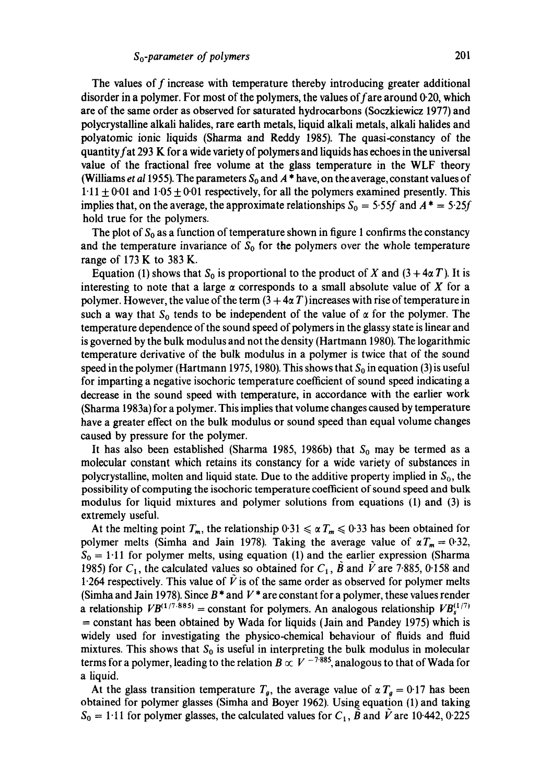The values of  $f$  increase with temperature thereby introducing greater additional disorder in a polymer. For most of the polymers, the values of fare around  $0.20$ , which are of the same order as observed for saturated hydrocarbons (Soczkiewicz 1977) and polycrystalline alkali halides, rare earth metals, liquid alkali metals, alkali halides and polyatomic ionic liquids (Sharma and Reddy 1985). The quasi-constancy of the quantity fat 293 K for a wide variety of polymers and liquids has echoes in the universal value of the fractional free volume at the glass temperature in the WLF theory (Williams *et al* 1955). The parameters  $S_0$  and  $A^*$  have, on the average, constant values of  $1.11 \pm 0.01$  and  $1.05 \pm 0.01$  respectively, for all the polymers examined presently. This implies that, on the average, the approximate relationships  $S_0 = 5.55f$  and  $A^* = 5.25f$ hold true for the polymers.

The plot of  $S_0$  as a function of temperature shown in figure 1 confirms the constancy and the temperature invariance of  $S_0$  for the polymers over the whole temperature range of 173 K to 383 K.

Equation (1) shows that  $S_0$  is proportional to the product of X and  $(3 + 4\alpha T)$ . It is interesting to note that a large  $\alpha$  corresponds to a small absolute value of X for a polymer. However, the value of the term  $(3 + 4\alpha)$  increases with rise of temperature in such a way that  $S_0$  tends to be independent of the value of  $\alpha$  for the polymer. The temperature dependence of the sound speed of polymers in the glassy state is linear and is governed by the bulk modulus and not the density (Hartmann 1980). The logarithmic temperature derivative of the bulk modulus in a polymer is twice that of the sound speed in the polymer (Hartmann 1975, 1980). This shows that  $S_0$  in equation (3) is useful for imparting a negative isochoric temperature coefficient of sound speed indicating a decrease in the sound speed with temperature, in accordance with the earlier work (Sharma 1983a) for a polymer. This implies that volume changes caused by temperature have a greater effect on the bulk modulus or sound speed than equal volume changes caused by pressure for the polymer.

It has also been established (Sharma 1985, 1986b) that  $S_0$  may be termed as a molecular constant which retains its constancy for a wide variety of substances in polycrystalline, molten and liquid state. Due to the additive property implied in  $S_0$ , the possibility of computing the isochoric temperature coefficient of sound speed and bulk modulus for liquid mixtures and polymer solutions from equations (1) and (3) is extremely useful.

At the melting point  $T_m$ , the relationship  $0.31 \le \alpha T_m \le 0.33$  has been obtained for polymer melts (Simha and Jain 1978). Taking the average value of  $\alpha T_m = 0.32$ ,  $S_0 = 1.11$  for polymer melts, using equation (1) and the earlier expression (Sharma 1985) for  $C_1$ , the calculated values so obtained for  $C_1$ ,  $\vec{B}$  and  $\vec{V}$  are 7.885, 0.158 and 1.264 respectively. This value of  $\vec{V}$  is of the same order as observed for polymer melts (Simha and Jain 1978). Since  $B^*$  and  $V^*$  are constant for a polymer, these values render a relationship  $VB^{(1/7.885)}$  = constant for polymers. An analogous relationship  $VB^{(1/7)}_s$ = constant has been obtained by Wada for liquids (Jain and Pandey 1975) which is widely used for investigating the physico-chemical behaviour of fluids and fluid mixtures. This shows that  $S_0$  is useful in interpreting the bulk modulus in molecular terms for a polymer, leading to the relation  $B \propto V^{-7.885}$ , analogous to that of Wada for a liquid.

At the glass transition temperature  $T_g$ , the average value of  $\alpha T_g = 0.17$  has been obtained for polymer glasses (Simha and Boyer 1962). Using equation (1) and taking  $S_0 = 1.11$  for polymer glasses, the calculated values for  $C_1$ ,  $\tilde{B}$  and  $\tilde{V}$  are 10.442, 0.225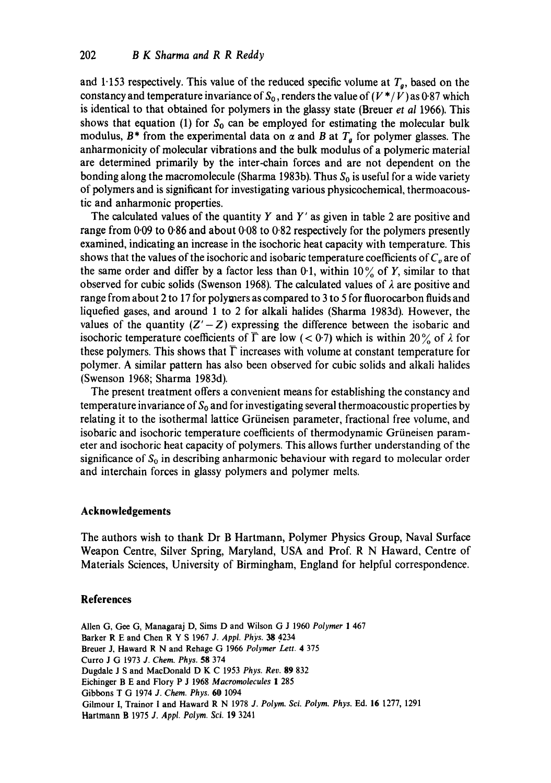and 1.153 respectively. This value of the reduced specific volume at  $T_g$ , based on the constancy and temperature invariance of  $S_0$ , renders the value of  $(V^*/V)$  as 0.87 which is identical to that obtained for polymers in the glassy state (Breuer *et al* 1966). This shows that equation (1) for  $S_0$  can be employed for estimating the molecular bulk modulus,  $B^*$  from the experimental data on  $\alpha$  and B at  $T_q$  for polymer glasses. The anharmonicity of molecular vibrations and the bulk modulus of a polymeric material are determined primarily by the inter-chain forces and are not dependent on the bonding along the macromolecule (Sharma 1983b). Thus  $S_0$  is useful for a wide variety of polymers and is significant for investigating various physicochemical, thermoacoustic and anharmonic properties.

The calculated values of the quantity Y and Y' as given in table 2 are positive and range from  $0.09$  to  $0.86$  and about  $0.08$  to  $0.82$  respectively for the polymers presently examined, indicating an increase in the isochoric heat capacity with temperature. This shows that the values of the isochoric and isobaric temperature coefficients of  $C_v$  are of the same order and differ by a factor less than 0.1, within  $10\%$  of Y, similar to that observed for cubic solids (Swenson 1968). The calculated values of  $\lambda$  are positive and range from about 2 to 17 for polymers as compared to 3 to 5 for fluorocarbon fluids and liquefied gases, and around 1 to 2 for alkali halides (Sharma 1983d). However, the values of the quantity  $(Z'-Z)$  expressing the difference between the isobaric and isochoric temperature coefficients of  $\overline{\Gamma}$  are low (< 0.7) which is within 20% of  $\lambda$  for these polymers. This shows that  $\overline{\Gamma}$  increases with volume at constant temperature for polymer. A similar pattern has also been observed for cubic solids and alkali halides (Swenson 1968; Sharma 1983d).

The present treatment offers a convenient means for establishing the constancy and temperature invariance of  $S_0$  and for investigating several thermoacoustic properties by relating it to the isothermal lattice Grüneisen parameter, fractional free volume, and isobaric and isochoric temperature coefficients of thermodynamic Grüneisen parameter and isochoric heat capacity of polymers. This allows further understanding of the significance of  $S_0$  in describing anharmonic behaviour with regard to molecular order and interchain forces in glassy polymers and polymer melts.

### **Acknowledgements**

The authors wish to thank Dr B Hartmann, Polymer Physics Group, Naval Surface Weapon Centre, Silver Spring, Maryland, USA and Prof. R N Haward, Centre of Materials Sciences, University of Birmingham, England for helpful correspondence.

### **References**

Allen G, Gee G, Managaraj D, Sims D and Wilson G J 1960 *Polymer* 1 467 Barker R E and Chen R Y S 1967 *J. Appl. Phys.* 38 4234 Breuer J, Haward R N and Rehage G 1966 *Polymer Lett.* 4 375 Curro J G 1973 *J. Chem. Phys.* 58 374 Dugdale J S and MacDonald D K C 1953 *Phys. Rev.* 89 832 Eichinger B E and Flory P J 1968 *Macromolecules* I 285 Gibbons T G 1974 *d. Chem. Phys.* 60 1094 Gilmour I, Trainor I and Haward R N 1978 *J. Polym. Sci. Polym. Phys.* Ed. 16 1277, 1291 Hartmann B 1975 *J. Appl. Polym.* Sci. 19 3241